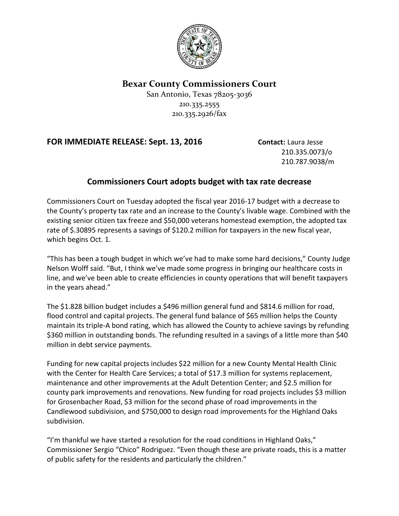

## **Bexar County Commissioners Court**

San Antonio, Texas 78205-3036 210.335.2555 210.335.2926/fax

## **FOR IMMEDIATE RELEASE: Sept. 13, 2016 Contact:** Laura Jesse

210.335.0073/o 210.787.9038/m

## **Commissioners Court adopts budget with tax rate decrease**

Commissioners Court on Tuesday adopted the fiscal year 2016-17 budget with a decrease to the County's property tax rate and an increase to the County's livable wage. Combined with the existing senior citizen tax freeze and \$50,000 veterans homestead exemption, the adopted tax rate of \$.30895 represents a savings of \$120.2 million for taxpayers in the new fiscal year, which begins Oct. 1.

"This has been a tough budget in which we've had to make some hard decisions," County Judge Nelson Wolff said. "But, I think we've made some progress in bringing our healthcare costs in line, and we've been able to create efficiencies in county operations that will benefit taxpayers in the years ahead."

The \$1.828 billion budget includes a \$496 million general fund and \$814.6 million for road, flood control and capital projects. The general fund balance of \$65 million helps the County maintain its triple-A bond rating, which has allowed the County to achieve savings by refunding \$360 million in outstanding bonds. The refunding resulted in a savings of a little more than \$40 million in debt service payments.

Funding for new capital projects includes \$22 million for a new County Mental Health Clinic with the Center for Health Care Services; a total of \$17.3 million for systems replacement, maintenance and other improvements at the Adult Detention Center; and \$2.5 million for county park improvements and renovations. New funding for road projects includes \$3 million for Grosenbacher Road, \$3 million for the second phase of road improvements in the Candlewood subdivision, and \$750,000 to design road improvements for the Highland Oaks subdivision.

"I'm thankful we have started a resolution for the road conditions in Highland Oaks," Commissioner Sergio "Chico" Rodriguez. "Even though these are private roads, this is a matter of public safety for the residents and particularly the children."